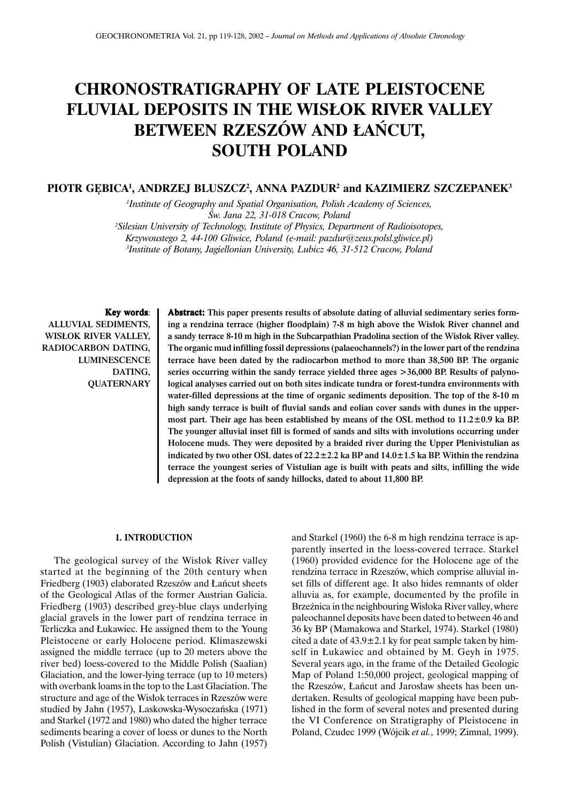# **CHRONOSTRATIGRAPHY OF LATE PLEISTOCENE FLUVIAL DEPOSITS IN THE WIS£OK RIVER VALLEY BETWEEN RZESZÓW AND £AÑCUT, SOUTH POLAND**

# **PIOTR GÊBICA1 , ANDRZEJ BLUSZCZ2 , ANNA PAZDUR2 and KAZIMIERZ SZCZEPANEK3**

*1 Institute of Geography and Spatial Organisation, Polish Academy of Sciences, Œw. Jana 22, 31-018 Cracow, Poland*

*2 Silesian University of Technology, Institute of Physics, Department of Radioisotopes, Krzywoustego 2, 44-100 Gliwice, Poland (e-mail: pazdur@zeus.polsl.gliwice.pl) 3 Institute of Botany, Jagiellonian University, Lubicz 46, 31-512 Cracow, Poland*

Key words: ALLUVIAL SEDIMENTS, WIS£OK RIVER VALLEY, RADIOCARBON DATING, LUMINESCENCE DATING, **QUATERNARY** 

Abstract: Abstract: This paper presents results of absolute dating of alluvial sedimentary series forming a rendzina terrace (higher floodplain) 7-8 m high above the Wisłok River channel and a sandy terrace 8-10 m high in the Subcarpathian Pradolina section of the Wisłok River valley. The organic mud infilling fossil depressions (palaeochannels?) in the lower part of the rendzina terrace have been dated by the radiocarbon method to more than 38,500 BP. The organic series occurring within the sandy terrace yielded three ages >36,000 BP. Results of palynological analyses carried out on both sites indicate tundra or forest-tundra environments with water-filled depressions at the time of organic sediments deposition. The top of the 8-10 m high sandy terrace is built of fluvial sands and eolian cover sands with dunes in the uppermost part. Their age has been established by means of the OSL method to  $11.2 \pm 0.9$  ka BP. The younger alluvial inset fill is formed of sands and silts with involutions occurring under Holocene muds. They were deposited by a braided river during the Upper Plenivistulian as indicated by two other OSL dates of  $22.2 \pm 2.2$  ka BP and  $14.0 \pm 1.5$  ka BP. Within the rendzina terrace the youngest series of Vistulian age is built with peats and silts, infilling the wide depression at the foots of sandy hillocks, dated to about 11,800 BP.

## **1. INTRODUCTION**

The geological survey of the Wisłok River valley started at the beginning of the 20th century when Friedberg (1903) elaborated Rzeszów and £añcut sheets of the Geological Atlas of the former Austrian Galicia. Friedberg (1903) described grey-blue clays underlying glacial gravels in the lower part of rendzina terrace in Terliczka and £ukawiec. He assigned them to the Young Pleistocene or early Holocene period. Klimaszewski assigned the middle terrace (up to 20 meters above the river bed) loess-covered to the Middle Polish (Saalian) Glaciation, and the lower-lying terrace (up to 10 meters) with overbank loams in the top to the Last Glaciation. The structure and age of the Wisłok terraces in Rzeszów were studied by Jahn (1957), Laskowska-Wysoczañska (1971) and Starkel (1972 and 1980) who dated the higher terrace sediments bearing a cover of loess or dunes to the North Polish (Vistulian) Glaciation. According to Jahn (1957)

and Starkel (1960) the 6-8 m high rendzina terrace is apparently inserted in the loess-covered terrace. Starkel (1960) provided evidence for the Holocene age of the rendzina terrace in Rzeszów, which comprise alluvial inset fills of different age. It also hides remnants of older alluvia as, for example, documented by the profile in Brzeźnica in the neighbouring Wisłoka River valley, where paleochannel deposits have been dated to between 46 and 36 ky BP (Mamakowa and Starkel, 1974). Starkel (1980) cited a date of  $43.9 \pm 2.1$  ky for peat sample taken by himself in £ukawiec and obtained by M. Geyh in 1975. Several years ago, in the frame of the Detailed Geologic Map of Poland 1:50,000 project, geological mapping of the Rzeszów, Łańcut and Jarosław sheets has been undertaken. Results of geological mapping have been published in the form of several notes and presented during the VI Conference on Stratigraphy of Pleistocene in Poland, Czudec 1999 (Wójcik *et al.*, 1999; Zimnal, 1999).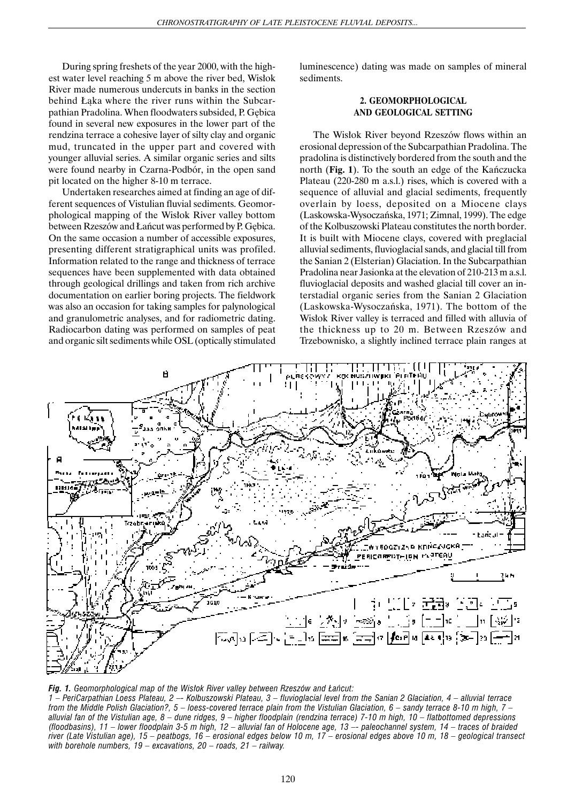During spring freshets of the year 2000, with the highest water level reaching 5 m above the river bed, Wisłok River made numerous undercuts in banks in the section behind Łaka where the river runs within the Subcarpathian Pradolina. When floodwaters subsided, P. Gębica found in several new exposures in the lower part of the rendzina terrace a cohesive layer of silty clay and organic mud, truncated in the upper part and covered with younger alluvial series. A similar organic series and silts were found nearby in Czarna-Podbór, in the open sand pit located on the higher 8-10 m terrace.

Undertaken researches aimed at finding an age of different sequences of Vistulian fluvial sediments. Geomorphological mapping of the Wisłok River valley bottom between Rzeszów and £añcut was performed by P. Gêbica. On the same occasion a number of accessible exposures, presenting different stratigraphical units was profiled. Information related to the range and thickness of terrace sequences have been supplemented with data obtained through geological drillings and taken from rich archive documentation on earlier boring projects. The fieldwork was also an occasion for taking samples for palynological and granulometric analyses, and for radiometric dating. Radiocarbon dating was performed on samples of peat and organic silt sediments while OSL (optically stimulated luminescence) dating was made on samples of mineral sediments.

# **2. GEOMORPHOLOGICAL AND GEOLOGICAL SETTING**

The Wisłok River beyond Rzeszów flows within an erosional depression of the Subcarpathian Pradolina. The pradolina is distinctively bordered from the south and the north (**Fig. 1**). To the south an edge of the Kañczucka Plateau (220-280 m a.s.l.) rises, which is covered with a sequence of alluvial and glacial sediments, frequently overlain by loess, deposited on a Miocene clays (Laskowska-Wysoczañska, 1971; Zimnal, 1999). The edge of the Kolbuszowski Plateau constitutes the north border. It is built with Miocene clays, covered with preglacial alluvial sediments, fluvioglacial sands, and glacial till from the Sanian 2 (Elsterian) Glaciation. In the Subcarpathian Pradolina near Jasionka at the elevation of 210-213 m a.s.l. fluvioglacial deposits and washed glacial till cover an interstadial organic series from the Sanian 2 Glaciation (Laskowska-Wysoczañska, 1971). The bottom of the Wisłok River valley is terraced and filled with alluvia of the thickness up to 20 m. Between Rzeszów and Trzebownisko, a slightly inclined terrace plain ranges at



**Fig. 1.** Geomorphological map of the Wisłok River valley between Rzeszów and Łańcut:

*1 – PeriCarpathian Loess Plateau, 2 –- Kolbuszowski Plateau, 3 – fluvioglacial level from the Sanian 2 Glaciation, 4 – alluvial terrace from the Middle Polish Glaciation?, 5 – loess-covered terrace plain from the Vistulian Glaciation, 6 – sandy terrace 8-10 m high, 7 – alluvial fan of the Vistulian age, 8 – dune ridges, 9 – higher floodplain (rendzina terrace) 7-10 m high, 10 – flatbottomed depressions (floodbasins), 11 – lower floodplain 3-5 m high, 12 – alluvial fan of Holocene age, 13 –- paleochannel system, 14 – traces of braided river (Late Vistulian age), 15 – peatbogs, 16 – erosional edges below 10 m, 17 – erosional edges above 10 m, 18 – geological transect with borehole numbers, 19 – excavations, 20 – roads, 21 – railway.*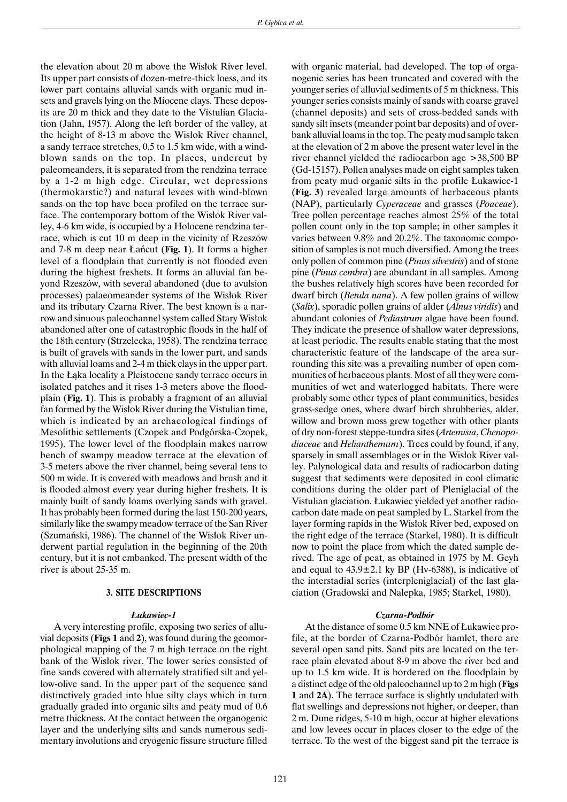the elevation about 20 m above the Wisłok River level. Its upper part consists of dozen-metre-thick loess, and its lower part contains alluvial sands with organic mud insets and gravels lying on the Miocene clays. These deposits are 20 m thick and they date to the Vistulian Glaciation (Jahn, 1957). Along the left border of the valley, at the height of 8-13 m above the Wisłok River channel, a sandy terrace stretches, 0.5 to 1.5 km wide, with a windblown sands on the top. In places, undercut by paleomeanders, it is separated from the rendzina terrace by a 1-2 m high edge. Circular, wet depressions (thermokarstic?) and natural levees with wind-blown sands on the top have been profiled on the terrace surface. The contemporary bottom of the Wisłok River valley, 4-6 km wide, is occupied by a Holocene rendzina terrace, which is cut 10 m deep in the vicinity of Rzeszów and 7-8 m deep near £añcut (**Fig. 1**). It forms a higher level of a floodplain that currently is not flooded even during the highest freshets. It forms an alluvial fan beyond Rzeszów, with several abandoned (due to avulsion processes) palaeomeander systems of the Wisłok River and its tributary Czarna River. The best known is a narrow and sinuous paleochannel system called Stary Wisłok abandoned after one of catastrophic floods in the half of the 18th century (Strzelecka, 1958). The rendzina terrace is built of gravels with sands in the lower part, and sands with alluvial loams and 2-4 m thick clays in the upper part. In the Łąka locality a Pleistocene sandy terrace occurs in isolated patches and it rises 1-3 meters above the floodplain (**Fig. 1**). This is probably a fragment of an alluvial fan formed by the Wisłok River during the Vistulian time, which is indicated by an archaeological findings of Mesolithic settlements (Czopek and Podgórska-Czopek, 1995). The lower level of the floodplain makes narrow bench of swampy meadow terrace at the elevation of 3-5 meters above the river channel, being several tens to 500 m wide. It is covered with meadows and brush and it is flooded almost every year during higher freshets. It is mainly built of sandy loams overlying sands with gravel. It has probably been formed during the last 150-200 years, similarly like the swampy meadow terrace of the San River (Szumański, 1986). The channel of the Wisłok River underwent partial regulation in the beginning of the 20th century, but it is not embanked. The present width of the river is about 25-35 m.

#### **3. SITE DESCRIPTIONS**

#### *£ukawiec-1*

A very interesting profile, exposing two series of alluvial deposits (**Figs 1** and **2**), was found during the geomorphological mapping of the 7 m high terrace on the right bank of the Wisłok river. The lower series consisted of fine sands covered with alternately stratified silt and yellow-olive sand. In the upper part of the sequence sand distinctively graded into blue silty clays which in turn gradually graded into organic silts and peaty mud of 0.6 metre thickness. At the contact between the organogenic layer and the underlying silts and sands numerous sedimentary involutions and cryogenic fissure structure filled with organic material, had developed. The top of organogenic series has been truncated and covered with the younger series of alluvial sediments of 5 m thickness. This younger series consists mainly of sands with coarse gravel (channel deposits) and sets of cross-bedded sands with sandy silt insets (meander point bar deposits) and of overbank alluvial loams in the top. The peaty mud sample taken at the elevation of 2 m above the present water level in the river channel yielded the radiocarbon age >38,500 BP (Gd-15157). Pollen analyses made on eight samples taken from peaty mud organic silts in the profile £ukawiec-1 (**Fig. 3**) revealed large amounts of herbaceous plants (NAP), particularly *Cyperaceae* and grasses (*Poaceae*). Tree pollen percentage reaches almost 25% of the total pollen count only in the top sample; in other samples it varies between 9.8% and 20.2%. The taxonomic composition of samples is not much diversified. Among the trees only pollen of common pine (*Pinus silvestris*) and of stone pine (*Pinus cembra*) are abundant in all samples. Among the bushes relatively high scores have been recorded for dwarf birch (*Betula nana*). A few pollen grains of willow (*Salix*), sporadic pollen grains of alder (*Alnus viridis*) and abundant colonies of *Pediastrum* algae have been found. They indicate the presence of shallow water depressions, at least periodic. The results enable stating that the most characteristic feature of the landscape of the area surrounding this site was a prevailing number of open communities of herbaceous plants. Most of all they were communities of wet and waterlogged habitats. There were probably some other types of plant communities, besides grass-sedge ones, where dwarf birch shrubberies, alder, willow and brown moss grew together with other plants of dry non-forest steppe-tundra sites (*Artemisia*, *Chenopodiaceae* and *Helianthemum*). Trees could by found, if any, sparsely in small assemblages or in the Wisłok River valley. Palynological data and results of radiocarbon dating suggest that sediments were deposited in cool climatic conditions during the older part of Pleniglacial of the Vistulian glaciation. £ukawiec yielded yet another radiocarbon date made on peat sampled by L. Starkel from the layer forming rapids in the Wisłok River bed, exposed on the right edge of the terrace (Starkel, 1980). It is difficult now to point the place from which the dated sample derived. The age of peat, as obtained in 1975 by M. Geyh and equal to  $43.9 \pm 2.1$  ky BP (Hv-6388), is indicative of the interstadial series (interpleniglacial) of the last glaciation (Gradowski and Nalepka, 1985; Starkel, 1980).

## *Czarna-Podbór*

At the distance of some 0.5 km NNE of £ukawiec profile, at the border of Czarna-Podbór hamlet, there are several open sand pits. Sand pits are located on the terrace plain elevated about 8-9 m above the river bed and up to 1.5 km wide. It is bordered on the floodplain by a distinct edge of the old paleochannel up to 2 m high (**Figs 1** and **2A**). The terrace surface is slightly undulated with flat swellings and depressions not higher, or deeper, than 2 m. Dune ridges, 5-10 m high, occur at higher elevations and low levees occur in places closer to the edge of the terrace. To the west of the biggest sand pit the terrace is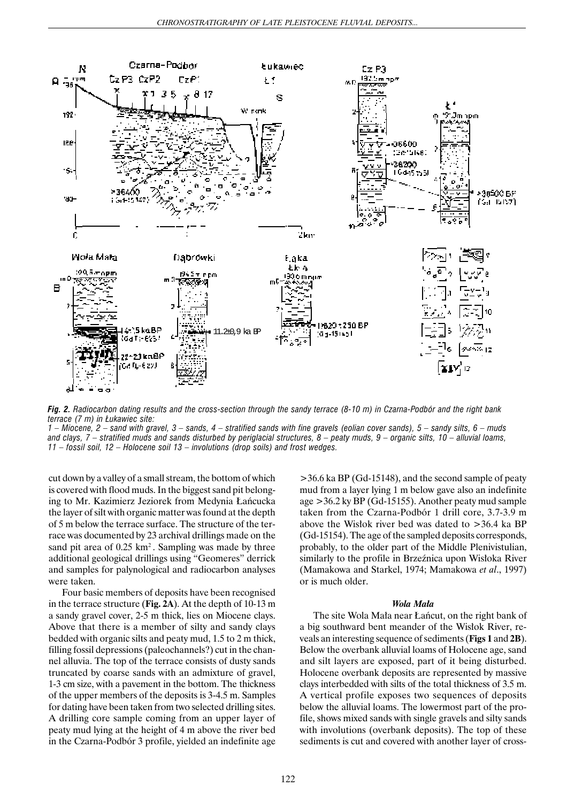

*Fig. 2. Radiocarbon dating results and the cross-section through the sandy terrace (8-10 m) in Czarna-Podbór and the right bank terrace (7 m) in £ukawiec site:*

*1 – Miocene, 2 – sand with gravel, 3 – sands, 4 – stratified sands with fine gravels (eolian cover sands), 5 – sandy silts, 6 – muds and clays, 7 – stratified muds and sands disturbed by periglacial structures, 8 – peaty muds, 9 – organic silts, 10 – alluvial loams, 11 – fossil soil, 12 – Holocene soil 13 – involutions (drop soils) and frost wedges.*

cut down by a valley of a small stream, the bottom of which is covered with flood muds. In the biggest sand pit belonging to Mr. Kazimierz Jeziorek from Medynia £añcucka the layer of silt with organic matter was found at the depth of 5 m below the terrace surface. The structure of the terrace was documented by 23 archival drillings made on the sand pit area of  $0.25 \text{ km}^2$ . Sampling was made by three additional geological drillings using "Geomeres" derrick and samples for palynological and radiocarbon analyses were taken.

Four basic members of deposits have been recognised in the terrace structure (**Fig. 2A**). At the depth of 10-13 m a sandy gravel cover, 2-5 m thick, lies on Miocene clays. Above that there is a member of silty and sandy clays bedded with organic silts and peaty mud, 1.5 to 2 m thick, filling fossil depressions (paleochannels?) cut in the channel alluvia. The top of the terrace consists of dusty sands truncated by coarse sands with an admixture of gravel, 1-3 cm size, with a pavement in the bottom. The thickness of the upper members of the deposits is 3-4.5 m. Samples for dating have been taken from two selected drilling sites. A drilling core sample coming from an upper layer of peaty mud lying at the height of 4 m above the river bed in the Czarna-Podbór 3 profile, yielded an indefinite age

>36.6 ka BP (Gd-15148), and the second sample of peaty mud from a layer lying 1 m below gave also an indefinite age >36.2 ky BP (Gd-15155). Another peaty mud sample taken from the Czarna-Podbór 1 drill core, 3.7-3.9 m above the Wisłok river bed was dated to  $>36.4$  ka BP (Gd-15154). The age of the sampled deposits corresponds, probably, to the older part of the Middle Plenivistulian, similarly to the profile in Brzeźnica upon Wisłoka River (Mamakowa and Starkel, 1974; Mamakowa *et al*., 1997) or is much older.

#### *Wola Ma³a*

The site Wola Mała near Łańcut, on the right bank of a big southward bent meander of the Wisłok River, reveals an interesting sequence of sediments (**Figs 1** and **2B**). Below the overbank alluvial loams of Holocene age, sand and silt layers are exposed, part of it being disturbed. Holocene overbank deposits are represented by massive clays interbedded with silts of the total thickness of 3.5 m. A vertical profile exposes two sequences of deposits below the alluvial loams. The lowermost part of the profile, shows mixed sands with single gravels and silty sands with involutions (overbank deposits). The top of these sediments is cut and covered with another layer of cross-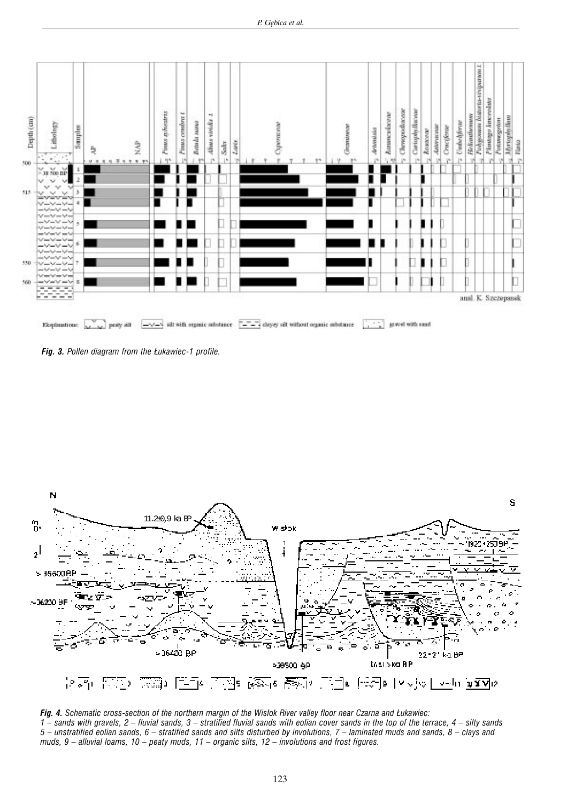

*Fig. 3. Pollen diagram from the £ukawiec-1 profile.*



**Fig. 4.** Schematic cross-section of the northern margin of the Wisłok River valley floor near Czarna and Łukawiec: *1 – sands with gravels, 2 – fluvial sands, 3 – stratified fluvial sands with eolian cover sands in the top of the terrace, 4 – silty sands 5 – unstratified eolian sands, 6 – stratified sands and silts disturbed by involutions, 7 – laminated muds and sands, 8 – clays and muds, 9 – alluvial loams, 10 – peaty muds, 11 – organic silts, 12 – involutions and frost figures.*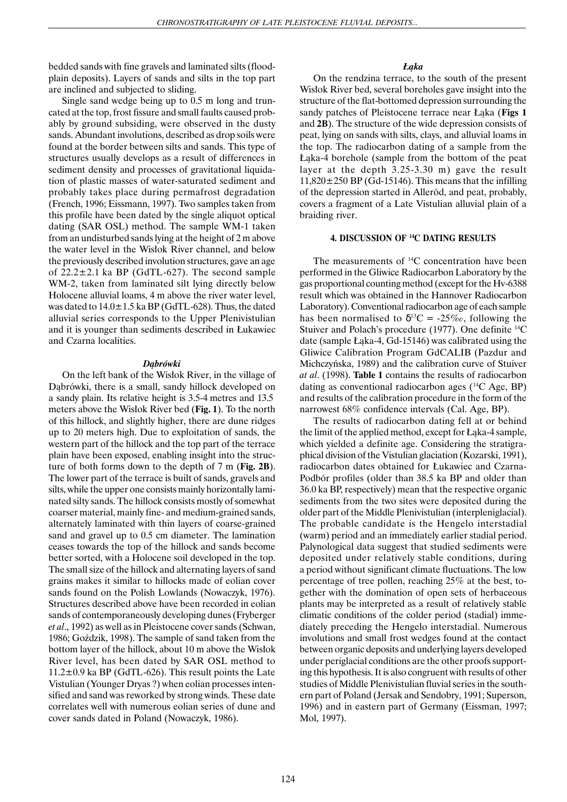bedded sands with fine gravels and laminated silts (floodplain deposits). Layers of sands and silts in the top part are inclined and subjected to sliding.

Single sand wedge being up to 0.5 m long and truncated at the top, frost fissure and small faults caused probably by ground subsiding, were observed in the dusty sands. Abundant involutions, described as drop soils were found at the border between silts and sands. This type of structures usually develops as a result of differences in sediment density and processes of gravitational liquidation of plastic masses of water-saturated sediment and probably takes place during permafrost degradation (French, 1996; Eissmann, 1997). Two samples taken from this profile have been dated by the single aliquot optical dating (SAR OSL) method. The sample WM-1 taken from an undisturbed sands lying at the height of 2 m above the water level in the Wisłok River channel, and below the previously described involution structures, gave an age of 22.2±2.1 ka BP (GdTL-627). The second sample WM-2, taken from laminated silt lying directly below Holocene alluvial loams, 4 m above the river water level, was dated to  $14.0 \pm 1.5$  ka BP (GdTL-628). Thus, the dated alluvial series corresponds to the Upper Plenivistulian and it is younger than sediments described in £ukawiec and Czarna localities.

## *D¹brówki*

On the left bank of the Wisłok River, in the village of Dabrówki, there is a small, sandy hillock developed on a sandy plain. Its relative height is 3.5-4 metres and 13.5 meters above the Wisłok River bed (Fig. 1). To the north of this hillock, and slightly higher, there are dune ridges up to 20 meters high. Due to exploitation of sands, the western part of the hillock and the top part of the terrace plain have been exposed, enabling insight into the structure of both forms down to the depth of 7 m (**Fig. 2B**). The lower part of the terrace is built of sands, gravels and silts, while the upper one consists mainly horizontally laminated silty sands. The hillock consists mostly of somewhat coarser material, mainly fine- and medium-grained sands, alternately laminated with thin layers of coarse-grained sand and gravel up to 0.5 cm diameter. The lamination ceases towards the top of the hillock and sands become better sorted, with a Holocene soil developed in the top. The small size of the hillock and alternating layers of sand grains makes it similar to hillocks made of eolian cover sands found on the Polish Lowlands (Nowaczyk, 1976). Structures described above have been recorded in eolian sands of contemporaneously developing dunes (Fryberger *et al*., 1992) as well as in Pleistocene cover sands (Schwan, 1986; Goździk, 1998). The sample of sand taken from the bottom layer of the hillock, about 10 m above the Wisłok River level, has been dated by SAR OSL method to  $11.2\pm0.9$  ka BP (GdTL-626). This result points the Late Vistulian (Younger Dryas ?) when eolian processes intensified and sand was reworked by strong winds. These date correlates well with numerous eolian series of dune and cover sands dated in Poland (Nowaczyk, 1986).

## *£¹ka*

On the rendzina terrace, to the south of the present Wisłok River bed, several boreholes gave insight into the structure of the flat-bottomed depression surrounding the sandy patches of Pleistocene terrace near Łąka (Figs 1 and **2B**). The structure of the wide depression consists of peat, lying on sands with silts, clays, and alluvial loams in the top. The radiocarbon dating of a sample from the £¹ka-4 borehole (sample from the bottom of the peat layer at the depth 3.25-3.30 m) gave the result  $11,820 \pm 250$  BP (Gd-15146). This means that the infilling of the depression started in Alleröd, and peat, probably, covers a fragment of a Late Vistulian alluvial plain of a braiding river.

#### **4. DISCUSSION OF 14C DATING RESULTS**

The measurements of <sup>14</sup>C concentration have been performed in the Gliwice Radiocarbon Laboratory by the gas proportional counting method (except for the Hv-6388 result which was obtained in the Hannover Radiocarbon Laboratory). Conventional radiocarbon age of each sample has been normalised to  $\delta^{13}C = -25\%$ , following the Stuiver and Polach's procedure (1977). One definite 14C date (sample Łąka-4, Gd-15146) was calibrated using the Gliwice Calibration Program GdCALIB (Pazdur and Michczyñska, 1989) and the calibration curve of Stuiver *at al*. (1998). **Table 1** contains the results of radiocarbon dating as conventional radiocarbon ages  $(^{14}C$  Age, BP) and results of the calibration procedure in the form of the narrowest 68% confidence intervals (Cal. Age, BP).

The results of radiocarbon dating fell at or behind the limit of the applied method, except for Łąka-4 sample, which yielded a definite age. Considering the stratigraphical division of the Vistulian glaciation (Kozarski, 1991), radiocarbon dates obtained for £ukawiec and Czarna-Podbór profiles (older than 38.5 ka BP and older than 36.0 ka BP, respectively) mean that the respective organic sediments from the two sites were deposited during the older part of the Middle Plenivistulian (interpleniglacial). The probable candidate is the Hengelo interstadial (warm) period and an immediately earlier stadial period. Palynological data suggest that studied sediments were deposited under relatively stable conditions, during a period without significant climate fluctuations. The low percentage of tree pollen, reaching 25% at the best, together with the domination of open sets of herbaceous plants may be interpreted as a result of relatively stable climatic conditions of the colder period (stadial) immediately preceding the Hengelo interstadial. Numerous involutions and small frost wedges found at the contact between organic deposits and underlying layers developed under periglacial conditions are the other proofs supporting this hypothesis. It is also congruent with results of other studies of Middle Plenivistulian fluvial series in the southern part of Poland (Jersak and Sendobry, 1991; Superson, 1996) and in eastern part of Germany (Eissman, 1997; Mol, 1997).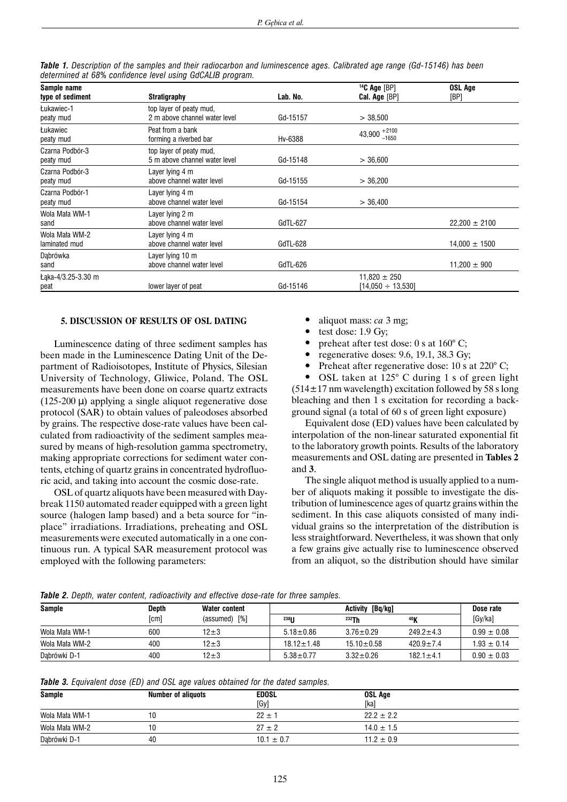| Sample name<br>type of sediment | <b>Stratigraphy</b>                                      | Lab. No. | $14C$ Age [BP]<br>Cal. Age [BP]            | <b>OSL Age</b><br>[BP] |
|---------------------------------|----------------------------------------------------------|----------|--------------------------------------------|------------------------|
| Łukawiec-1<br>peaty mud         | top layer of peaty mud,<br>2 m above channel water level | Gd-15157 | > 38,500                                   |                        |
| Łukawiec<br>peaty mud           | Peat from a bank<br>forming a riverbed bar               | Hv-6388  | $+2100$<br>43,900<br>$-1650$               |                        |
| Czarna Podbór-3<br>peaty mud    | top layer of peaty mud,<br>5 m above channel water level | Gd-15148 | > 36,600                                   |                        |
| Czarna Podbór-3<br>peaty mud    | Layer Iying 4 m<br>above channel water level             | Gd-15155 | > 36,200                                   |                        |
| Czarna Podbór-1<br>peaty mud    | Layer lying 4 m<br>above channel water level             | Gd-15154 | > 36,400                                   |                        |
| Wola Mała WM-1<br>sand          | Layer Iying 2 m<br>above channel water level             | GdTL-627 |                                            | $22,200 \pm 2100$      |
| Wola Mała WM-2<br>laminated mud | Laver lying 4 m<br>above channel water level             | GdTL-628 |                                            | $14,000 \pm 1500$      |
| Dąbrówka<br>sand                | Layer lying 10 m<br>above channel water level            | GdTL-626 |                                            | $11,200 \pm 900$       |
| Łaka-4/3.25-3.30 m<br>peat      | lower layer of peat                                      | Gd-15146 | $11,820 \pm 250$<br>$[14,050 \div 13,530]$ |                        |

*Table 1. Description of the samples and their radiocarbon and luminescence ages. Calibrated age range (Gd-15146) has been determined at 68% confidence level using GdCALIB program.*

# **5. DISCUSSION OF RESULTS OF OSL DATING**

Luminescence dating of three sediment samples has been made in the Luminescence Dating Unit of the Department of Radioisotopes, Institute of Physics, Silesian University of Technology, Gliwice, Poland. The OSL measurements have been done on coarse quartz extracts (125-200  $\mu$ ) applying a single aliquot regenerative dose protocol (SAR) to obtain values of paleodoses absorbed by grains. The respective dose-rate values have been calculated from radioactivity of the sediment samples measured by means of high-resolution gamma spectrometry, making appropriate corrections for sediment water contents, etching of quartz grains in concentrated hydrofluoric acid, and taking into account the cosmic dose-rate.

OSL of quartz aliquots have been measured with Daybreak 1150 automated reader equipped with a green light source (halogen lamp based) and a beta source for "inplace" irradiations. Irradiations, preheating and OSL measurements were executed automatically in a one continuous run. A typical SAR measurement protocol was employed with the following parameters:

- aliquot mass:  $ca$  3 mg;
- test dose: 1.9 Gy;
- preheat after test dose: 0 s at 160° C;
- regenerative doses:  $9.6$ ,  $19.1$ ,  $38.3$  Gy;
- Preheat after regenerative dose: 10 s at 220° C;

• OSL taken at 125° C during 1 s of green light  $(514 \pm 17 \text{ nm}$  wavelength) excitation followed by 58 s long bleaching and then 1 s excitation for recording a background signal (a total of 60 s of green light exposure)

Equivalent dose (ED) values have been calculated by interpolation of the non-linear saturated exponential fit to the laboratory growth points. Results of the laboratory measurements and OSL dating are presented in **Tables 2** and **3**.

The single aliquot method is usually applied to a number of aliquots making it possible to investigate the distribution of luminescence ages of quartz grains within the sediment. In this case aliquots consisted of many individual grains so the interpretation of the distribution is less straightforward. Nevertheless, it was shown that only a few grains give actually rise to luminescence observed from an aliquot, so the distribution should have similar

| <b>Sample</b>  | Depth | Water content    |                  | Activity [Bq/kg] |                 |                 |  |
|----------------|-------|------------------|------------------|------------------|-----------------|-----------------|--|
|                | [cm]  | [%]<br>(assumed) | 23811            | 232Th            | 40K             | [Gy/ka]         |  |
| Wola Mata WM-1 | 600   | $12 + 3$         | $5.18 \pm 0.86$  | $3.76 \pm 0.29$  | $249.2 \pm 4.3$ | $0.99 \pm 0.08$ |  |
| Wola Mata WM-2 | 400   | $12 + 3$         | $18.12 \pm 1.48$ | $15.10 \pm 0.58$ | $420.9 \pm 7.4$ | $1.93 \pm 0.14$ |  |
| Dabrówki D-1   | 400   | $12 + 3$         | $5.38 \pm 0.77$  | $3.32 \pm 0.26$  | $182.1 \pm 4.1$ | $0.90 \pm 0.03$ |  |

*Table 2. Depth, water content, radioactivity and effective dose-rate for three samples.*

|  | Table 3. Equivalent dose (ED) and OSL age values obtained for the dated samples. |  |  |  |  |  |  |  |  |  |  |  |
|--|----------------------------------------------------------------------------------|--|--|--|--|--|--|--|--|--|--|--|
|--|----------------------------------------------------------------------------------|--|--|--|--|--|--|--|--|--|--|--|

| <b>Sample</b>  | Number of aliquots | <b>EDOSL</b>   | OSL Age        |
|----------------|--------------------|----------------|----------------|
|                |                    | [Gy]           | [ka]           |
| Wola Mała WM-1 | 10                 | $22 + 1$       | $22.2 \pm 2.2$ |
| Wola Mała WM-2 | 10                 | $27 \pm 2$     | $14.0 \pm 1.5$ |
| Dąbrówki D-1   | 40                 | $10.1 \pm 0.7$ | $11.2 \pm 0.9$ |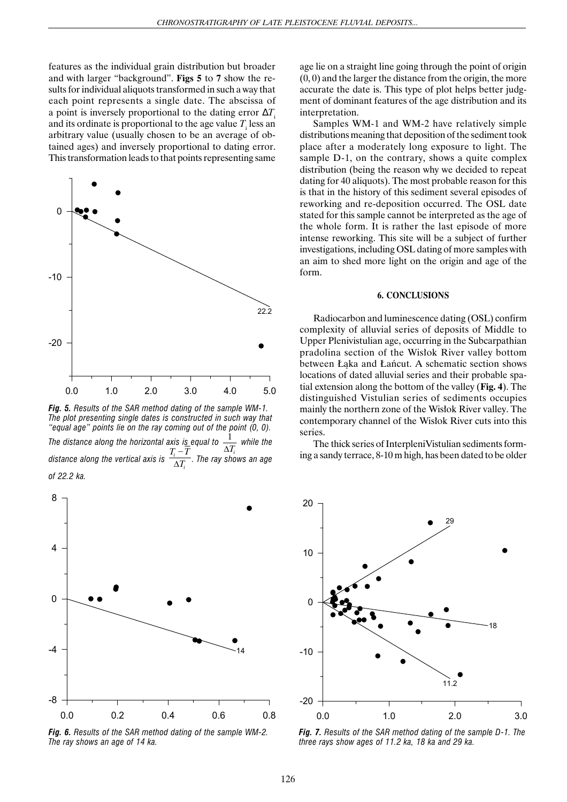features as the individual grain distribution but broader and with larger "background". **Figs 5** to **7** show the results for individual aliquots transformed in such a way that each point represents a single date. The abscissa of a point is inversely proportional to the dating error  $\Delta T$ . and its ordinate is proportional to the age value  $T_i$  less an arbitrary value (usually chosen to be an average of obtained ages) and inversely proportional to dating error. This transformation leads to that points representing same



*Fig. 5. Results of the SAR method dating of the sample WM-1. The plot presenting single dates is constructed in such way that "equal age" points lie on the ray coming out of the point (0, 0). The distance along the horizontal axis i<u>s </u>equal to*  $\frac{1}{\Delta T_i}$  *while the distance along the vertical axis is*  $\frac{1}{\Delta T_i}$  $\frac{i}{\Delta T_i}$  $T_i - T$  $\Delta$ - *. The ray shows an age of 22.2 ka.*



*Fig. 6. Results of the SAR method dating of the sample WM-2. The ray shows an age of 14 ka.*

age lie on a straight line going through the point of origin (0, 0) and the larger the distance from the origin, the more accurate the date is. This type of plot helps better judgment of dominant features of the age distribution and its interpretation.

Samples WM-1 and WM-2 have relatively simple distributions meaning that deposition of the sediment took place after a moderately long exposure to light. The sample D-1, on the contrary, shows a quite complex distribution (being the reason why we decided to repeat dating for 40 aliquots). The most probable reason for this is that in the history of this sediment several episodes of reworking and re-deposition occurred. The OSL date stated for this sample cannot be interpreted as the age of the whole form. It is rather the last episode of more intense reworking. This site will be a subject of further investigations, including OSL dating of more samples with an aim to shed more light on the origin and age of the form.

#### **6. CONCLUSIONS**

Radiocarbon and luminescence dating (OSL) confirm complexity of alluvial series of deposits of Middle to Upper Plenivistulian age, occurring in the Subcarpathian pradolina section of the Wisłok River valley bottom between Łąka and Łańcut. A schematic section shows locations of dated alluvial series and their probable spatial extension along the bottom of the valley (**Fig. 4**). The distinguished Vistulian series of sediments occupies mainly the northern zone of the Wisłok River valley. The contemporary channel of the Wisłok River cuts into this series.

The thick series of InterpleniVistulian sediments forming a sandy terrace, 8-10 m high, has been dated to be older



*Fig. 7. Results of the SAR method dating of the sample D-1. The three rays show ages of 11.2 ka, 18 ka and 29 ka.*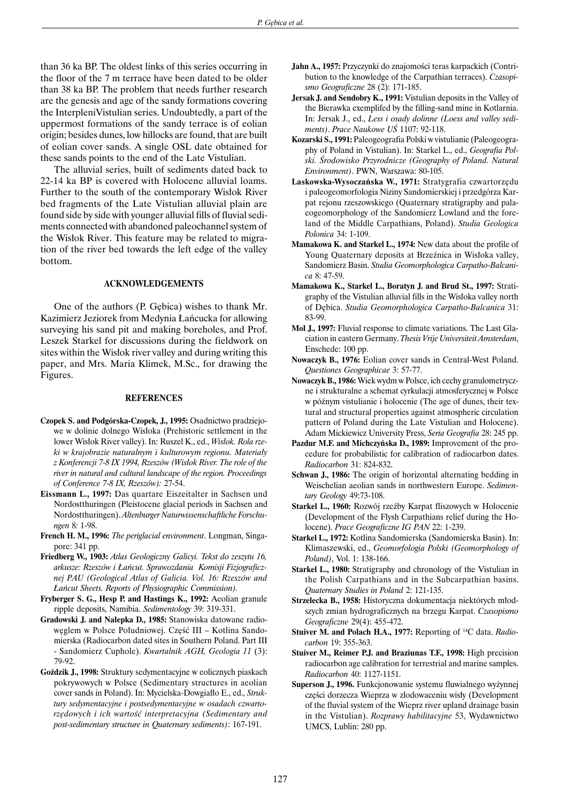than 36 ka BP. The oldest links of this series occurring in the floor of the 7 m terrace have been dated to be older than 38 ka BP. The problem that needs further research are the genesis and age of the sandy formations covering the InterpleniVistulian series. Undoubtedly, a part of the uppermost formations of the sandy terrace is of eolian origin; besides dunes, low hillocks are found, that are built of eolian cover sands. A single OSL date obtained for these sands points to the end of the Late Vistulian.

The alluvial series, built of sediments dated back to 22-14 ka BP is covered with Holocene alluvial loams. Further to the south of the contemporary Wisłok River bed fragments of the Late Vistulian alluvial plain are found side by side with younger alluvial fills of fluvial sediments connected with abandoned paleochannel system of the Wisłok River. This feature may be related to migration of the river bed towards the left edge of the valley bottom.

## **ACKNOWLEDGEMENTS**

One of the authors (P. Gębica) wishes to thank Mr. Kazimierz Jeziorek from Medynia £añcucka for allowing surveying his sand pit and making boreholes, and Prof. Leszek Starkel for discussions during the fieldwork on sites within the Wisłok river valley and during writing this paper, and Mrs. Maria Klimek, M.Sc., for drawing the Figures.

#### **REFERENCES**

- **Czopek S. and Podgórska-Czopek, J., 1995:** Osadnictwo pradziejowe w dolinie dolnego Wisłoka (Prehistoric settlement in the lower Wisłok River valley). In: Ruszel K., ed., Wisłok. Rola rze*ki w krajobrazie naturalnym i kulturowym regionu. Materia³y z Konferencji 7-8 IX 1994, Rzeszów (Wis³ok River. The role of the river in natural and cultural landscape of the region. Proceedings of Conference 7-8 IX, Rzeszów):* 27-54.
- **Eissmann L., 1997:** Das quartare Eiszeitalter in Sachsen und Nordostthuringen (Pleistocene glacial periods in Sachsen and Nordostthuringen). *Altenburger Naturwissenschaftliche Forschungen* 8*:* 1-98.
- **French H. M., 1996:** *The periglacial environment*. Longman, Singapore: 341 pp.
- **Friedberg W., 1903:** *Atlas Geologiczny Galicyi. Tekst do zeszytu 16, arkusze: Rzeszów i £añcut. Sprawozdania Komisji Fizjograficznej PAU (Geological Atlas of Galicia. Vol. 16: Rzeszów and £añcut Sheets. Reports of Physiographic Commission).*
- **Fryberger S. G., Hesp P. and Hastings K., 1992:** Aeolian granule ripple deposits, Namibia. *Sedimentology* 39: 319-331.
- **Gradowski J. and Nalepka D., 1985:** Stanowiska datowane radiowęglem w Polsce Południowej. Część III – Kotlina Sandomierska (Radiocarbon dated sites in Southern Poland. Part III - Sandomierz Cuphole). *Kwartalnik AGH, Geologia 11* (3): 79-92.
- Goździk J., 1998: Struktury sedymentacyjne w eolicznych piaskach pokrywowych w Polsce (Sedimentary structures in aeolian cover sands in Poland). In: Mycielska-Dowgiałło E., ed., *Struktury sedymentacyjne i postsedymentacyjne w osadach czwarto*rzędowych i ich wartość interpretacyjna (Sedimentary and *post-sedimentary structure in Quaternary sediments)*: 167-191.
- Jahn A., 1957: Przyczynki do znajomości teras karpackich (Contribution to the knowledge of the Carpathian terraces). *Czasopismo Geograficzne* 28 (2): 171-185.
- **Jersak J. and Sendobry K., 1991:** Vistulian deposits in the Valley of the Bierawka exemplifed by the filling-sand mine in Kotlarnia. In: Jersak J., ed., *Less i osady dolinne (Loess and valley sediments*). *Prace Naukowe UŚ* 1107: 92-118.
- **Kozarski S., 1991:** Paleogeografia Polski w vistulianie (Paleogeography of Poland in Vistulian). In: Starkel L., ed., *Geografia Polski. Œrodowisko Przyrodnicze (Geography of Poland. Natural Environment)*. PWN, Warszawa: 80-105.
- **Laskowska-Wysoczañska W., 1971:** Stratygrafia czwartorzêdu i paleogeomorfologia Niziny Sandomierskiej i przedgórza Karpat rejonu rzeszowskiego (Quaternary stratigraphy and palaeogeomorphology of the Sandomierz Lowland and the foreland of the Middle Carpathians, Poland). *Studia Geologica Polonica* 34: 1-109.
- **Mamakowa K. and Starkel L., 1974:** New data about the profile of Young Quaternary deposits at Brzeźnica in Wisłoka valley, Sandomierz Basin. *Studia Geomorphologica Carpatho-Balcanica* 8: 47-59.
- **Mamakowa K., Starkel L., Boratyn J. and Brud St., 1997:** Stratigraphy of the Vistulian alluvial fills in the Wisłoka valley north of Dêbica. *Studia Geomorphologica Carpatho-Balcanica* 31: 83-99.
- **Mol J., 1997:** Fluvial response to climate variations. The Last Glaciation in eastern Germany. *Thesis Vrije Universiteit Amsterdam*, Enschede: 100 pp.
- **Nowaczyk B., 1976:** Eolian cover sands in Central-West Poland. *Questiones Geographicae* 3: 57-77.
- **Nowaczyk B., 1986:** Wiek wydm w Polsce, ich cechy granulometryczne i strukturalne a schemat cyrkulacji atmosferycznej w Polsce w późnym vistulianie i holocenie (The age of dunes, their textural and structural properties against atmospheric circulation pattern of Poland during the Late Vistulian and Holocene). Adam Mickiewicz University Press, *Seria Geografia* 28: 245 pp.
- **Pazdur M.F. and Michczyñska D., 1989:** Improvement of the procedure for probabilistic for calibration of radiocarbon dates. *Radiocarbon* 31: 824-832.
- **Schwan J., 1986:** The origin of horizontal alternating bedding in Weischelian aeolian sands in northwestern Europe. *Sedimentary Geology* 49:73-108.
- Starkel L., 1960: Rozwój rzeźby Karpat fliszowych w Holocenie (Development of the Flysh Carpathians relief during the Holocene). *Prace Geograficzne IG PAN* 22: 1-239.
- **Starkel L., 1972:** Kotlina Sandomierska (Sandomierska Basin). In: Klimaszewski, ed., *Geomorfologia Polski (Geomorphology of Poland)*, Vol. 1: 138-166.
- **Starkel L., 1980:** Stratigraphy and chronology of the Vistulian in the Polish Carpathians and in the Subcarpathian basins. *Quaternary Studies in Poland* 2: 121-135.
- Strzelecka B., 1958: Historyczna dokumentacja niektórych młodszych zmian hydrograficznych na brzegu Karpat. *Czasopismo Geograficzne* 29(4): 455-472.
- **Stuiver M. and Polach H.A., 1977:** Reporting of 14C data. *Radiocarbon* 19: 355-363.
- **Stuiver M., Reimer P.J. and Braziunas T.F., 1998:** High precision radiocarbon age calibration for terrestrial and marine samples. *Radiocarbon* 40: 1127-1151.
- Superson J., 1996. Funkcjonowanie systemu fluwialnego wyżynnej części dorzecza Wieprza w zlodowaceniu wisły (Development of the fluvial system of the Wieprz river upland drainage basin in the Vistulian). *Rozprawy habilitacyjne* 53, Wydawnictwo UMCS, Lublin: 280 pp.